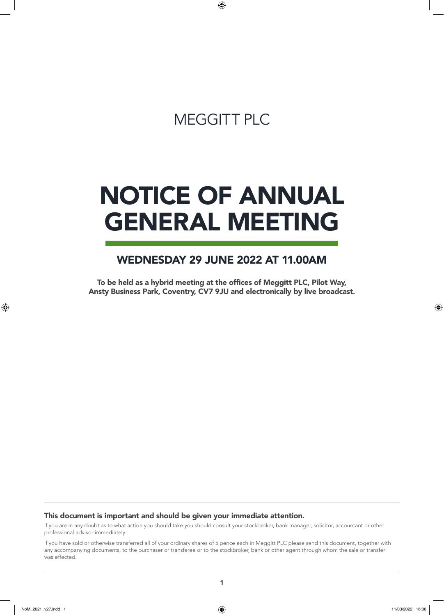## MEGGITT PLC

 $\bigoplus$ 

# NOTICE OF ANNUAL GENERAL MEETING

## WEDNESDAY 29 JUNE 2022 AT 11.00AM

To be held as a hybrid meeting at the offices of Meggitt PLC, Pilot Way, Ansty Business Park, Coventry, CV7 9JU and electronically by live broadcast.

#### This document is important and should be given your immediate attention.

If you are in any doubt as to what action you should take you should consult your stockbroker, bank manager, solicitor, accountant or other professional advisor immediately.

If you have sold or otherwise transferred all of your ordinary shares of 5 pence each in Meggitt PLC please send this document, together with any accompanying documents, to the purchaser or transferee or to the stockbroker, bank or other agent through whom the sale or transfer was effected.

 $\bigoplus$ 

⊕

1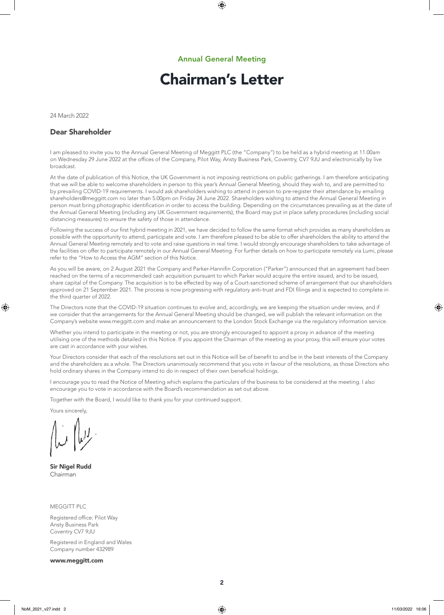⊕

## Chairman's Letter

24 March 2022

#### Dear Shareholder

I am pleased to invite you to the Annual General Meeting of Meggitt PLC (the "Company") to be held as a hybrid meeting at 11.00am on Wednesday 29 June 2022 at the offices of the Company, Pilot Way, Ansty Business Park, Coventry, CV7 9JU and electronically by live broadcast.

At the date of publication of this Notice, the UK Government is not imposing restrictions on public gatherings. I am therefore anticipating that we will be able to welcome shareholders in person to this year's Annual General Meeting, should they wish to, and are permitted to by prevailing COVID-19 requirements. I would ask shareholders wishing to attend in person to pre-register their attendance by emailing shareholders@meggitt.com no later than 5.00pm on Friday 24 June 2022. Shareholders wishing to attend the Annual General Meeting in person must bring photographic identification in order to access the building. Depending on the circumstances prevailing as at the date of the Annual General Meeting (including any UK Government requirements), the Board may put in place safety procedures (including social distancing measures) to ensure the safety of those in attendance.

Following the success of our first hybrid meeting in 2021, we have decided to follow the same format which provides as many shareholders as possible with the opportunity to attend, participate and vote. I am therefore pleased to be able to offer shareholders the ability to attend the Annual General Meeting remotely and to vote and raise questions in real time. I would strongly encourage shareholders to take advantage of the facilities on offer to participate remotely in our Annual General Meeting. For further details on how to participate remotely via Lumi, please refer to the "How to Access the AGM" section of this Notice.

As you will be aware, on 2 August 2021 the Company and Parker-Hannifin Corporation ("Parker") announced that an agreement had been reached on the terms of a recommended cash acquisition pursuant to which Parker would acquire the entire issued, and to be issued, share capital of the Company. The acquisition is to be effected by way of a Court-sanctioned scheme of arrangement that our shareholders approved on 21 September 2021. The process is now progressing with regulatory anti-trust and FDI filings and is expected to complete in the third quarter of 2022.

The Directors note that the COVID-19 situation continues to evolve and, accordingly, we are keeping the situation under review, and if we consider that the arrangements for the Annual General Meeting should be changed, we will publish the relevant information on the Company's website www.meggitt.com and make an announcement to the London Stock Exchange via the regulatory information service.

Whether you intend to participate in the meeting or not, you are strongly encouraged to appoint a proxy in advance of the meeting utilising one of the methods detailed in this Notice. If you appoint the Chairman of the meeting as your proxy, this will ensure your votes are cast in accordance with your wishes.

Your Directors consider that each of the resolutions set out in this Notice will be of benefit to and be in the best interests of the Company and the shareholders as a whole. The Directors unanimously recommend that you vote in favour of the resolutions, as those Directors who hold ordinary shares in the Company intend to do in respect of their own beneficial holdings.

I encourage you to read the Notice of Meeting which explains the particulars of the business to be considered at the meeting. I also encourage you to vote in accordance with the Board's recommendation as set out above.

Together with the Board, I would like to thank you for your continued support.

Yours sincerely,

⊕

Sir Nigel Rudd Chairman

MEGGITT PLC

Registered office: Pilot Way Ansty Business Park Coventry CV7 9JU

Registered in England and Wales Company number 432989

www.meggitt.com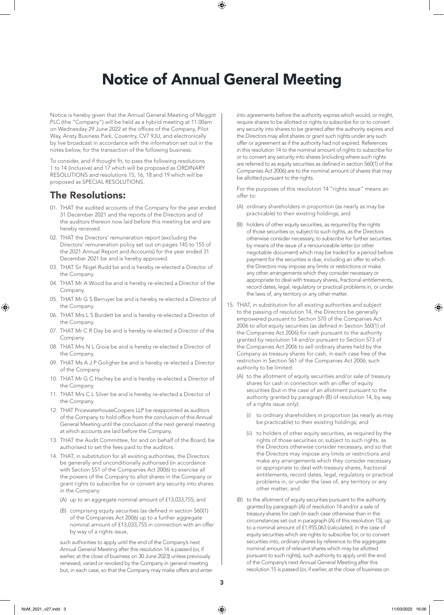## Notice of Annual General Meeting

⊕

Notice is hereby given that the Annual General Meeting of Meggitt PLC (the "Company") will be held as a hybrid meeting at 11.00am on Wednesday 29 June 2022 at the offices of the Company, Pilot Way, Ansty Business Park, Coventry, CV7 9JU, and electronically by live broadcast in accordance with the information set out in the notes below, for the transaction of the following business:

To consider, and if thought fit, to pass the following resolutions 1 to 14 (inclusive) and 17 which will be proposed as ORDINARY RESOLUTIONS and resolutions 15, 16, 18 and 19 which will be proposed as SPECIAL RESOLUTIONS.

### The Resolutions:

- 01. THAT the audited accounts of the Company for the year ended 31 December 2021 and the reports of the Directors and of the auditors thereon now laid before this meeting be and are hereby received.
- 02. THAT the Directors' remuneration report (excluding the Directors' remuneration policy set out on pages 145 to 155 of the 2021 Annual Report and Accounts) for the year ended 31 December 2021 be and is hereby approved.
- 03. THAT Sir Nigel Rudd be and is hereby re-elected a Director of the Company.
- 04. THAT Mr A Wood be and is hereby re-elected a Director of the Company.
- 05. THAT Mr G S Berruyer be and is hereby re-elected a Director of the Company.
- 06. THAT Mrs L S Burdett be and is hereby re-elected a Director of the Company.
- 07. THAT Mr C R Day be and is hereby re-elected a Director of the Company.
- 08. THAT Mrs N L Gioia be and is hereby re-elected a Director of the Company.
- 09. THAT Ms A J P Goligher be and is hereby re-elected a Director of the Company.
- 10. THAT Mr G C Hachey be and is hereby re-elected a Director of the Company.
- 11. THAT Mrs C L Silver be and is hereby re-elected a Director of the Company.
- 12. THAT PricewaterhouseCoopers LLP be reappointed as auditors of the Company to hold office from the conclusion of this Annual General Meeting until the conclusion of the next general meeting at which accounts are laid before the Company.
- 13. THAT the Audit Committee, for and on behalf of the Board, be authorised to set the fees paid to the auditors.
- 14. THAT, in substitution for all existing authorities, the Directors be generally and unconditionally authorised (in accordance with Section 551 of the Companies Act 2006) to exercise all the powers of the Company to allot shares in the Company or grant rights to subscribe for or convert any security into shares in the Company:
	- (A) up to an aggregate nominal amount of £13,033,755; and
	- (B) comprising equity securities (as defined in section 560(1) of the Companies Act 2006) up to a further aggregate nominal amount of £13,033,755 in connection with an offer by way of a rights issue,

such authorities to apply until the end of the Company's next Annual General Meeting after this resolution 14 is passed (or, if earlier, at the close of business on 30 June 2023) unless previously renewed, varied or revoked by the Company in general meeting but, in each case, so that the Company may make offers and enter into agreements before the authority expires which would, or might, require shares to be allotted or rights to subscribe for or to convert any security into shares to be granted after the authority expires and the Directors may allot shares or grant such rights under any such offer or agreement as if the authority had not expired. References in this resolution 14 to the nominal amount of rights to subscribe for or to convert any security into shares (including where such rights are referred to as equity securities as defined in section 560(1) of the Companies Act 2006) are to the nominal amount of shares that may be allotted pursuant to the rights.

For the purposes of this resolution 14 "rights issue" means an offer to:

- (A) ordinary shareholders in proportion (as nearly as may be practicable) to their existing holdings; and
- (B) holders of other equity securities, as required by the rights of those securities or, subject to such rights, as the Directors otherwise consider necessary, to subscribe for further securities by means of the issue of a renounceable letter (or other negotiable document) which may be traded for a period before payment for the securities is due, including an offer to which the Directors may impose any limits or restrictions or make any other arrangements which they consider necessary or appropriate to deal with treasury shares, fractional entitlements, record dates, legal, regulatory or practical problems in, or under the laws of, any territory or any other matter.
- 15. THAT, in substitution for all existing authorities and subject to the passing of resolution 14, the Directors be generally empowered pursuant to Section 570 of the Companies Act 2006 to allot equity securities (as defined in Section 560(1) of the Companies Act 2006) for cash pursuant to the authority granted by resolution 14 and/or pursuant to Section 573 of the Companies Act 2006 to sell ordinary shares held by the Company as treasury shares for cash, in each case free of the restriction in Section 561 of the Companies Act 2006, such authority to be limited:
	- (A) to the allotment of equity securities and/or sale of treasury shares for cash in connection with an offer of equity securities (but in the case of an allotment pursuant to the authority granted by paragraph (B) of resolution 14, by way of a rights issue only):
		- (i) to ordinary shareholders in proportion (as nearly as may be practicable) to their existing holdings; and
		- (ii) to holders of other equity securities, as required by the rights of those securities or, subject to such rights, as the Directors otherwise consider necessary, and so that the Directors may impose any limits or restrictions and make any arrangements which they consider necessary or appropriate to deal with treasury shares, fractional entitlements, record dates, legal, regulatory or practical problems in, or under the laws of, any territory or any other matter; and
	- (B) to the allotment of equity securities pursuant to the authority granted by paragraph (A) of resolution 14 and/or a sale of treasury shares for cash (in each case otherwise than in the circumstances set out in paragraph (A) of this resolution 15), up to a nominal amount of £1,955,063 (calculated, in the case of equity securities which are rights to subscribe for, or to convert securities into, ordinary shares by reference to the aggregate nominal amount of relevant shares which may be allotted pursuant to such rights), such authority to apply until the end of the Company's next Annual General Meeting after this resolution 15 is passed (or, if earlier, at the close of business on

⊕

♠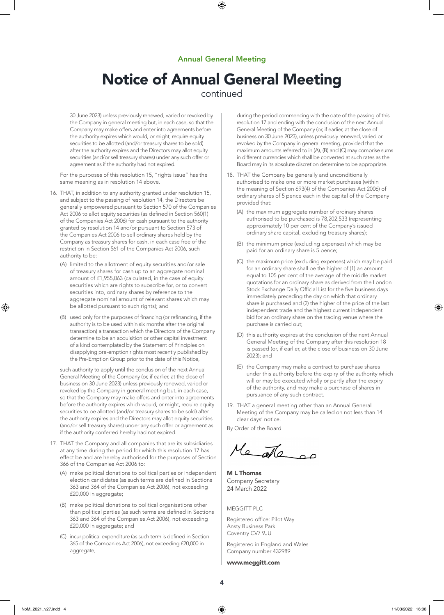$\bigoplus$ 

## Notice of Annual General Meeting

### continued

30 June 2023) unless previously renewed, varied or revoked by the Company in general meeting but, in each case, so that the Company may make offers and enter into agreements before the authority expires which would, or might, require equity securities to be allotted (and/or treasury shares to be sold) after the authority expires and the Directors may allot equity securities (and/or sell treasury shares) under any such offer or agreement as if the authority had not expired.

For the purposes of this resolution 15, "rights issue" has the same meaning as in resolution 14 above.

- 16. THAT, in addition to any authority granted under resolution 15, and subject to the passing of resolution 14, the Directors be generally empowered pursuant to Section 570 of the Companies Act 2006 to allot equity securities (as defined in Section 560(1) of the Companies Act 2006) for cash pursuant to the authority granted by resolution 14 and/or pursuant to Section 573 of the Companies Act 2006 to sell ordinary shares held by the Company as treasury shares for cash, in each case free of the restriction in Section 561 of the Companies Act 2006, such authority to be:
	- (A) limited to the allotment of equity securities and/or sale of treasury shares for cash up to an aggregate nominal amount of £1,955,063 (calculated, in the case of equity securities which are rights to subscribe for, or to convert securities into, ordinary shares by reference to the aggregate nominal amount of relevant shares which may be allotted pursuant to such rights); and
	- (B) used only for the purposes of financing (or refinancing, if the authority is to be used within six months after the original transaction) a transaction which the Directors of the Company determine to be an acquisition or other capital investment of a kind contemplated by the Statement of Principles on disapplying pre-emption rights most recently published by the Pre-Emption Group prior to the date of this Notice,

such authority to apply until the conclusion of the next Annual General Meeting of the Company (or, if earlier, at the close of business on 30 June 2023) unless previously renewed, varied or revoked by the Company in general meeting but, in each case, so that the Company may make offers and enter into agreements before the authority expires which would, or might, require equity securities to be allotted (and/or treasury shares to be sold) after the authority expires and the Directors may allot equity securities (and/or sell treasury shares) under any such offer or agreement as if the authority conferred hereby had not expired.

- 17. THAT the Company and all companies that are its subsidiaries at any time during the period for which this resolution 17 has effect be and are hereby authorised for the purposes of Section 366 of the Companies Act 2006 to:
	- (A) make political donations to political parties or independent election candidates (as such terms are defined in Sections 363 and 364 of the Companies Act 2006), not exceeding £20,000 in aggregate;
	- (B) make political donations to political organisations other than political parties (as such terms are defined in Sections 363 and 364 of the Companies Act 2006), not exceeding £20,000 in aggregate; and
	- (C) incur political expenditure (as such term is defined in Section 365 of the Companies Act 2006), not exceeding £20,000 in aggregate,

during the period commencing with the date of the passing of this resolution 17 and ending with the conclusion of the next Annual General Meeting of the Company (or, if earlier, at the close of business on 30 June 2023), unless previously renewed, varied or revoked by the Company in general meeting, provided that the maximum amounts referred to in (A), (B) and (C) may comprise sums in different currencies which shall be converted at such rates as the Board may in its absolute discretion determine to be appropriate.

- 18. THAT the Company be generally and unconditionally authorised to make one or more market purchases (within the meaning of Section 693(4) of the Companies Act 2006) of ordinary shares of 5 pence each in the capital of the Company provided that:
	- (A) the maximum aggregate number of ordinary shares authorised to be purchased is 78,202,533 (representing approximately 10 per cent of the Company's issued ordinary share capital, excluding treasury shares);
	- (B) the minimum price (excluding expenses) which may be paid for an ordinary share is 5 pence;
	- (C) the maximum price (excluding expenses) which may be paid for an ordinary share shall be the higher of (1) an amount equal to 105 per cent of the average of the middle market quotations for an ordinary share as derived from the London Stock Exchange Daily Official List for the five business days immediately preceding the day on which that ordinary share is purchased and (2) the higher of the price of the last independent trade and the highest current independent bid for an ordinary share on the trading venue where the purchase is carried out;
	- (D) this authority expires at the conclusion of the next Annual General Meeting of the Company after this resolution 18 is passed (or, if earlier, at the close of business on 30 June 2023); and
	- (E) the Company may make a contract to purchase shares under this authority before the expiry of the authority which will or may be executed wholly or partly after the expiry of the authority, and may make a purchase of shares in pursuance of any such contract.
- 19. THAT a general meeting other than an Annual General Meeting of the Company may be called on not less than 14 clear days' notice.

By Order of the Board

Me ale or

M L Thomas Company Secretary 24 March 2022

MEGGITT PLC

Registered office: Pilot Way Ansty Business Park Coventry CV7 9JU

Registered in England and Wales Company number 432989

#### www.meggitt.com

NoM\_2021\_v27.indd 4 11/03/2022 16:06

⊕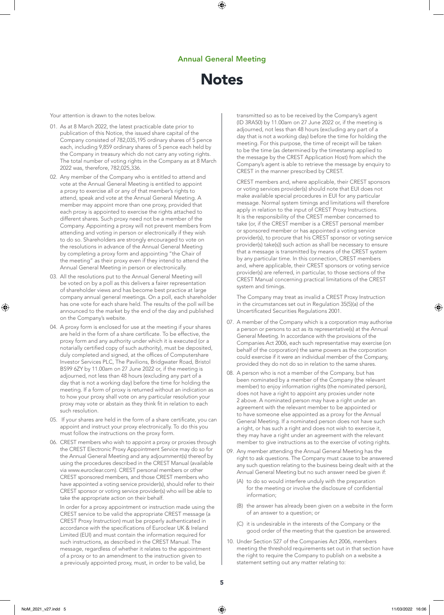⊕



Your attention is drawn to the notes below.

- 01. As at 8 March 2022, the latest practicable date prior to publication of this Notice, the issued share capital of the Company consisted of 782,035,195 ordinary shares of 5 pence each, including 9,859 ordinary shares of 5 pence each held by the Company in treasury which do not carry any voting rights. The total number of voting rights in the Company as at 8 March 2022 was, therefore, 782,025,336.
- 02. Any member of the Company who is entitled to attend and vote at the Annual General Meeting is entitled to appoint a proxy to exercise all or any of that member's rights to attend, speak and vote at the Annual General Meeting. A member may appoint more than one proxy, provided that each proxy is appointed to exercise the rights attached to different shares. Such proxy need not be a member of the Company. Appointing a proxy will not prevent members from attending and voting in person or electronically if they wish to do so. Shareholders are strongly encouraged to vote on the resolutions in advance of the Annual General Meeting by completing a proxy form and appointing "the Chair of the meeting" as their proxy even if they intend to attend the Annual General Meeting in person or electronically.
- 03. All the resolutions put to the Annual General Meeting will be voted on by a poll as this delivers a fairer representation of shareholder views and has become best practice at large company annual general meetings. On a poll, each shareholder has one vote for each share held. The results of the poll will be announced to the market by the end of the day and published on the Company's website.
- 04. A proxy form is enclosed for use at the meeting if your shares are held in the form of a share certificate. To be effective, the proxy form and any authority under which it is executed (or a notarially certified copy of such authority), must be deposited, duly completed and signed, at the offices of Computershare Investor Services PLC, The Pavilions, Bridgwater Road, Bristol BS99 6ZY by 11.00am on 27 June 2022 or, if the meeting is adjourned, not less than 48 hours (excluding any part of a day that is not a working day) before the time for holding the meeting. If a form of proxy is returned without an indication as to how your proxy shall vote on any particular resolution your proxy may vote or abstain as they think fit in relation to each such resolution.
- 05. If your shares are held in the form of a share certificate, you can appoint and instruct your proxy electronically. To do this you must follow the instructions on the proxy form.
- 06. CREST members who wish to appoint a proxy or proxies through the CREST Electronic Proxy Appointment Service may do so for the Annual General Meeting and any adjournment(s) thereof by using the procedures described in the CREST Manual (available via www.euroclear.com). CREST personal members or other CREST sponsored members, and those CREST members who have appointed a voting service provider(s), should refer to their CREST sponsor or voting service provider(s) who will be able to take the appropriate action on their behalf.

In order for a proxy appointment or instruction made using the CREST service to be valid the appropriate CREST message (a CREST Proxy Instruction) must be properly authenticated in accordance with the specifications of Euroclear UK & Ireland Limited (EUI) and must contain the information required for such instructions, as described in the CREST Manual. The message, regardless of whether it relates to the appointment of a proxy or to an amendment to the instruction given to a previously appointed proxy, must, in order to be valid, be

transmitted so as to be received by the Company's agent (ID 3RA50) by 11.00am on 27 June 2022 or, if the meeting is adjourned, not less than 48 hours (excluding any part of a day that is not a working day) before the time for holding the meeting. For this purpose, the time of receipt will be taken to be the time (as determined by the timestamp applied to the message by the CREST Application Host) from which the Company's agent is able to retrieve the message by enquiry to CREST in the manner prescribed by CREST.

CREST members and, where applicable, their CREST sponsors or voting services provider(s) should note that EUI does not make available special procedures in EUI for any particular message. Normal system timings and limitations will therefore apply in relation to the input of CREST Proxy Instructions. It is the responsibility of the CREST member concerned to take (or, if the CREST member is a CREST personal member or sponsored member or has appointed a voting service provider(s), to procure that his CREST sponsor or voting service provider(s) take(s)) such action as shall be necessary to ensure that a message is transmitted by means of the CREST system by any particular time. In this connection, CREST members and, where applicable, their CREST sponsors or voting service provider(s) are referred, in particular, to those sections of the CREST Manual concerning practical limitations of the CREST system and timings.

The Company may treat as invalid a CREST Proxy Instruction in the circumstances set out in Regulation 35(5)(a) of the Uncertificated Securities Regulations 2001.

- 07. A member of the Company which is a corporation may authorise a person or persons to act as its representative(s) at the Annual General Meeting. In accordance with the provisions of the Companies Act 2006, each such representative may exercise (on behalf of the corporation) the same powers as the corporation could exercise if it were an individual member of the Company, provided they do not do so in relation to the same shares.
- 08. A person who is not a member of the Company, but has been nominated by a member of the Company (the relevant member) to enjoy information rights (the nominated person), does not have a right to appoint any proxies under note 2 above. A nominated person may have a right under an agreement with the relevant member to be appointed or to have someone else appointed as a proxy for the Annual General Meeting. If a nominated person does not have such a right, or has such a right and does not wish to exercise it, they may have a right under an agreement with the relevant member to give instructions as to the exercise of voting rights.
- 09. Any member attending the Annual General Meeting has the right to ask questions. The Company must cause to be answered any such question relating to the business being dealt with at the Annual General Meeting but no such answer need be given if:
	- (A) to do so would interfere unduly with the preparation for the meeting or involve the disclosure of confidential information;
	- (B) the answer has already been given on a website in the form of an answer to a question; or
	- (C) it is undesirable in the interests of the Company or the good order of the meeting that the question be answered.
- 10. Under Section 527 of the Companies Act 2006, members meeting the threshold requirements set out in that section have the right to require the Company to publish on a website a statement setting out any matter relating to:

NoM\_2021\_v27.indd 5 11/03/2022 16:06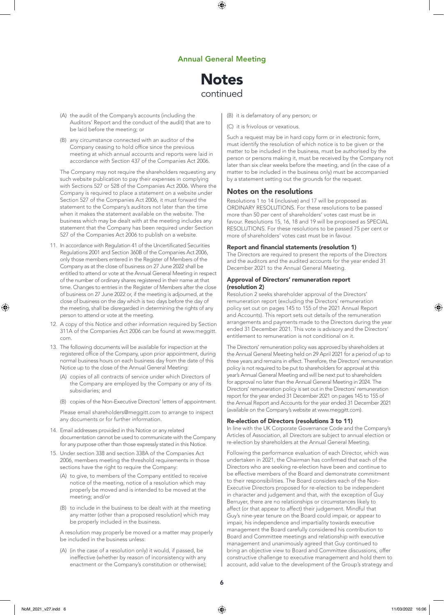⊕

## **Notes** continued

- (A) the audit of the Company's accounts (including the Auditors' Report and the conduct of the audit) that are to be laid before the meeting; or
- (B) any circumstance connected with an auditor of the Company ceasing to hold office since the previous meeting at which annual accounts and reports were laid in accordance with Section 437 of the Companies Act 2006.

The Company may not require the shareholders requesting any such website publication to pay their expenses in complying with Sections 527 or 528 of the Companies Act 2006. Where the Company is required to place a statement on a website under Section 527 of the Companies Act 2006, it must forward the statement to the Company's auditors not later than the time when it makes the statement available on the website. The business which may be dealt with at the meeting includes any statement that the Company has been required under Section 527 of the Companies Act 2006 to publish on a website.

- 11. In accordance with Regulation 41 of the Uncertificated Securities Regulations 2001 and Section 360B of the Companies Act 2006, only those members entered in the Register of Members of the Company as at the close of business on 27 June 2022 shall be entitled to attend or vote at the Annual General Meeting in respect of the number of ordinary shares registered in their name at that time. Changes to entries in the Register of Members after the close of business on 27 June 2022 or, if the meeting is adjourned, at the close of business on the day which is two days before the day of the meeting, shall be disregarded in determining the rights of any person to attend or vote at the meeting.
- 12. A copy of this Notice and other information required by Section 311A of the Companies Act 2006 can be found at www.meggitt. com.
- 13. The following documents will be available for inspection at the registered office of the Company, upon prior appointment, during normal business hours on each business day from the date of this Notice up to the close of the Annual General Meeting:
	- (A) copies of all contracts of service under which Directors of the Company are employed by the Company or any of its subsidiaries; and
	- (B) copies of the Non-Executive Directors' letters of appointment.

Please email shareholders@meggitt.com to arrange to inspect any documents or for further information.

- 14. Email addresses provided in this Notice or any related documentation cannot be used to communicate with the Company for any purpose other than those expressly stated in this Notice.
- 15. Under section 338 and section 338A of the Companies Act 2006, members meeting the threshold requirements in those sections have the right to require the Company:
	- (A) to give, to members of the Company entitled to receive notice of the meeting, notice of a resolution which may properly be moved and is intended to be moved at the meeting; and/or
	- (B) to include in the business to be dealt with at the meeting any matter (other than a proposed resolution) which may be properly included in the business.

A resolution may properly be moved or a matter may properly be included in the business unless:

(A) (in the case of a resolution only) it would, if passed, be ineffective (whether by reason of inconsistency with any enactment or the Company's constitution or otherwise); (B) it is defamatory of any person; or

(C) it is frivolous or vexatious.

Such a request may be in hard copy form or in electronic form, must identify the resolution of which notice is to be given or the matter to be included in the business, must be authorised by the person or persons making it, must be received by the Company not later than six clear weeks before the meeting, and (in the case of a matter to be included in the business only) must be accompanied by a statement setting out the grounds for the request.

#### Notes on the resolutions

Resolutions 1 to 14 (inclusive) and 17 will be proposed as ORDINARY RESOLUTIONS. For these resolutions to be passed more than 50 per cent of shareholders' votes cast must be in favour. Resolutions 15, 16, 18 and 19 will be proposed as SPECIAL RESOLUTIONS. For these resolutions to be passed 75 per cent or more of shareholders' votes cast must be in favour.

#### Report and financial statements (resolution 1)

The Directors are required to present the reports of the Directors and the auditors and the audited accounts for the year ended 31 December 2021 to the Annual General Meeting.

#### Approval of Directors' remuneration report (resolution 2)

Resolution 2 seeks shareholder approval of the Directors' remuneration report (excluding the Directors' remuneration policy set out on pages 145 to 155 of the 2021 Annual Report and Accounts). This report sets out details of the remuneration arrangements and payments made to the Directors during the year ended 31 December 2021. This vote is advisory and the Directors' entitlement to remuneration is not conditional on it.

The Directors' remuneration policy was approved by shareholders at the Annual General Meeting held on 29 April 2021 for a period of up to three years and remains in effect. Therefore, the Directors' remuneration policy is not required to be put to shareholders for approval at this year's Annual General Meeting and will be next put to shareholders for approval no later than the Annual General Meeting in 2024. The Directors' remuneration policy is set out in the Directors' remuneration report for the year ended 31 December 2021 on pages 145 to 155 of the Annual Report and Accounts for the year ended 31 December 2021 (available on the Company's website at www.meggitt.com).

#### Re-election of Directors (resolutions 3 to 11)

In line with the UK Corporate Governance Code and the Company's Articles of Association, all Directors are subject to annual election or re-election by shareholders at the Annual General Meeting.

Following the performance evaluation of each Director, which was undertaken in 2021, the Chairman has confirmed that each of the Directors who are seeking re-election have been and continue to be effective members of the Board and demonstrate commitment to their responsibilities. The Board considers each of the Non-Executive Directors proposed for re-election to be independent in character and judgement and that, with the exception of Guy Berruyer, there are no relationships or circumstances likely to affect (or that appear to affect) their judgement. Mindful that Guy's nine-year tenure on the Board could impair, or appear to impair, his independence and impartiality towards executive management the Board carefully considered his contribution to Board and Committee meetings and relationship with executive management and unanimously agreed that Guy continued to bring an objective view to Board and Committee discussions, offer constructive challenge to executive management and hold them to account, add value to the development of the Group's strategy and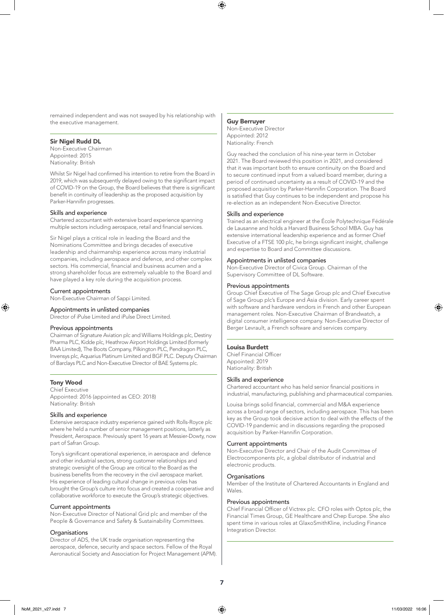remained independent and was not swayed by his relationship with the executive management.

#### Sir Nigel Rudd DL

Non-Executive Chairman Appointed: 2015 Nationality: British

Whilst Sir Nigel had confirmed his intention to retire from the Board in 2019, which was subsequently delayed owing to the significant impact of COVID-19 on the Group, the Board believes that there is significant benefit in continuity of leadership as the proposed acquisition by Parker-Hannifin progresses.

#### Skills and experience

Chartered accountant with extensive board experience spanning multiple sectors including aerospace, retail and financial services.

Sir Nigel plays a critical role in leading the Board and the Nominations Committee and brings decades of executive leadership and chairmanship experience across many industrial companies, including aerospace and defence, and other complex sectors. His commercial, financial and business acumen and a strong shareholder focus are extremely valuable to the Board and have played a key role during the acquisition process.

#### Current appointments

Non-Executive Chairman of Sappi Limited.

### Appointments in unlisted companies

Director of iPulse Limited and iPulse Direct Limited.

#### Previous appointments

Chairman of Signature Aviation plc and Williams Holdings plc, Destiny Pharma PLC, Kidde plc, Heathrow Airport Holdings Limited (formerly BAA Limited), The Boots Company, Pilkington PLC, Pendragon PLC, Invensys plc, Aquarius Platinum Limited and BGF PLC. Deputy Chairman of Barclays PLC and Non-Executive Director of BAE Systems plc.

#### Tony Wood

⊕

Chief Executive Appointed: 2016 (appointed as CEO: 2018) Nationality: British

#### Skills and experience

Extensive aerospace industry experience gained with Rolls-Royce plc where he held a number of senior management positions, latterly as President, Aerospace. Previously spent 16 years at Messier-Dowty, now part of Safran Group.

Tony's significant operational experience, in aerospace and defence and other industrial sectors, strong customer relationships and strategic oversight of the Group are critical to the Board as the business benefits from the recovery in the civil aerospace market. His experience of leading cultural change in previous roles has brought the Group's culture into focus and created a cooperative and collaborative workforce to execute the Group's strategic objectives.

#### Current appointments

Non-Executive Director of National Grid plc and member of the People & Governance and Safety & Sustainability Committees.

#### **Organisations**

Director of ADS, the UK trade organisation representing the aerospace, defence, security and space sectors. Fellow of the Royal Aeronautical Society and Association for Project Management (APM).

#### Guy Berruyer

⊕

Non-Executive Director Appointed: 2012 Nationality: French

Guy reached the conclusion of his nine-year term in October 2021. The Board reviewed this position in 2021, and considered that it was important both to ensure continuity on the Board and to secure continued input from a valued board member, during a period of continued uncertainty as a result of COVID-19 and the proposed acquisition by Parker-Hannifin Corporation. The Board is satisfied that Guy continues to be independent and propose his re-election as an independent Non-Executive Director.

#### Skills and experience

Trained as an electrical engineer at the École Polytechnique Fédérale de Lausanne and holds a Harvard Business School MBA. Guy has extensive international leadership experience and as former Chief Executive of a FTSE 100 plc, he brings significant insight, challenge and expertise to Board and Committee discussions.

#### Appointments in unlisted companies

Non-Executive Director of Civica Group. Chairman of the Supervisory Committee of DL Software.

#### Previous appointments

Group Chief Executive of The Sage Group plc and Chief Executive of Sage Group plc's Europe and Asia division. Early career spent with software and hardware vendors in French and other European management roles. Non-Executive Chairman of Brandwatch, a digital consumer intelligence company. Non-Executive Director of Berger Levrault, a French software and services company.

#### Louisa Burdett

Chief Financial Officer Appointed: 2019 Nationality: British

#### Skills and experience

Chartered accountant who has held senior financial positions in industrial, manufacturing, publishing and pharmaceutical companies.

Louisa brings solid financial, commercial and M&A experience across a broad range of sectors, including aerospace. This has been key as the Group took decisive action to deal with the effects of the COVID-19 pandemic and in discussions regarding the proposed acquisition by Parker-Hannifin Corporation.

#### Current appointments

Non-Executive Director and Chair of the Audit Committee of Electrocomponents plc, a global distributor of industrial and electronic products.

#### **Organisations**

Member of the Institute of Chartered Accountants in England and Wales.

#### Previous appointments

Chief Financial Officer of Victrex plc. CFO roles with Optos plc, the Financial Times Group, GE Healthcare and Chep Europe. She also spent time in various roles at GlaxoSmithKline, including Finance Integration Director.

7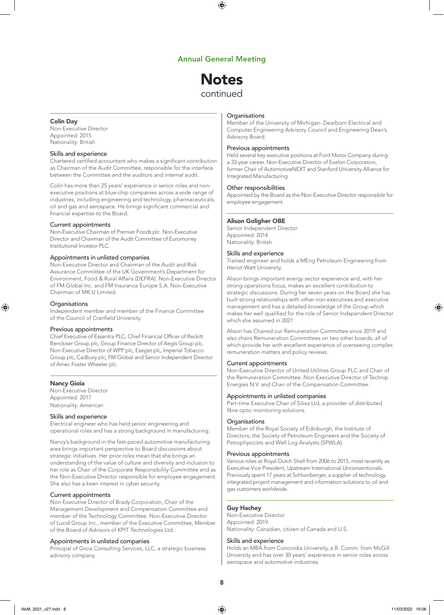#### $\bigoplus$

#### Annual General Meeting

## **Notes** continued

#### Colin Day

Non-Executive Director Appointed: 2015 Nationality: British

#### Skills and experience

Chartered certified accountant who makes a significant contribution as Chairman of the Audit Committee, responsible for the interface between the Committee and the auditors and internal audit.

Colin has more than 25 years' experience in senior roles and nonexecutive positions at blue-chip companies across a wide range of industries, including engineering and technology, pharmaceuticals, oil and gas and aerospace. He brings significant commercial and financial expertise to the Board.

#### Current appointments

Non-Executive Chairman of Premier Foods plc. Non-Executive Director and Chairman of the Audit Committee of Euromoney Institutional Investor PLC.

#### Appointments in unlisted companies

Non-Executive Director and Chairman of the Audit and Risk Assurance Committee of the UK Government's Department for Environment, Food & Rural Affairs (DEFRA). Non-Executive Director of FM Global Inc. and FM Insurance Europe S.A. Non-Executive Chairman of MK:U Limited.

#### **Organisations**

⊕

Independent member and member of the Finance Committee of the Council of Cranfield University.

#### Previous appointments

Chief Executive of Essentra PLC, Chief Financial Officer of Reckitt Benckiser Group plc, Group Finance Director of Aegis Group plc, Non-Executive Director of WPP plc, Easyjet plc, Imperial Tobacco Group plc, Cadbury plc, FM Global and Senior Independent Director of Amec Foster Wheeler plc.

#### Nancy Gioia

Non-Executive Director Appointed: 2017 Nationality: American

#### Skills and experience

Electrical engineer who has held senior engineering and operational roles and has a strong background in manufacturing.

Nancy's background in the fast-paced automotive manufacturing area brings important perspective to Board discussions about strategic initiatives. Her prior roles mean that she brings an understanding of the value of culture and diversity and inclusion to her role as Chair of the Corporate Responsibility Committee and as the Non-Executive Director responsible for employee engagement. She also has a keen interest in cyber security.

#### Current appointments

Non-Executive Director of Brady Corporation, Chair of the Management Development and Compensation Committee and member of the Technology Committee. Non-Executive Director of Lucid Group Inc., member of the Executive Committee, Member of the Board of Advisors of KPIT Technologies Ltd.

#### Appointments in unlisted companies

Principal of Gioia Consulting Services, LLC, a strategic business advisory company.

#### **Organisations**

Member of the University of Michigan- Dearborn Electrical and Computer Engineering Advisory Council and Engineering Dean's Advisory Board.

#### Previous appointments

Held several key executive positions at Ford Motor Company during a 33-year career. Non-Executive Director of Exelon Corporation, former Chair of AutomotiveNEXT and Stanford University Alliance for Integrated Manufacturing.

#### Other responsibilities

Appointed by the Board as the Non-Executive Director responsible for employee engagement.

#### Alison Goligher OBE

Senior Independent Director Appointed: 2014 Nationality: British

#### Skills and experience

Trained engineer and holds a MEng Petroleum Engineering from Heriot-Watt University.

Alison brings important energy sector experience and, with her strong operations focus, makes an excellent contribution to strategic discussions. During her seven years on the Board she has built strong relationships with other non-executives and executive management and has a detailed knowledge of the Group which makes her well qualified for the role of Senior Independent Director which she assumed in 2021.

Alison has Chaired our Remuneration Committee since 2019 and also chairs Remuneration Committees on two other boards, all of which provide her with excellent experience of overseeing complex remuneration matters and policy reviews.

#### Current appointments

Non-Executive Director of United Utilities Group PLC and Chair of the Remuneration Committee. Non-Executive Director of Technip Energies N.V. and Chair of the Compensation Committee.

#### Appointments in unlisted companies

Part-time Executive Chair of Silixa Ltd, a provider of distributed fibre optic monitoring solutions.

#### Organisations

Member of the Royal Society of Edinburgh, the Institute of Directors, the Society of Petroleum Engineers and the Society of Petrophysicists and Well Log Analysts (SPWLA).

#### Previous appointments

Various roles at Royal Dutch Shell from 2006 to 2015, most recently as Executive Vice President, Upstream International Unconventionals. Previously spent 17 years at Schlumberger, a supplier of technology, integrated project management and information solutions to oil and gas customers worldwide.

#### Guy Hachey

Non-Executive Director Appointed: 2019 Nationality: Canadian, citizen of Canada and U.S.

#### Skills and experience

Holds an MBA from Concordia University, a B. Comm. from McGill University and has over 30 years' experience in senior roles across aerospace and automotive industries.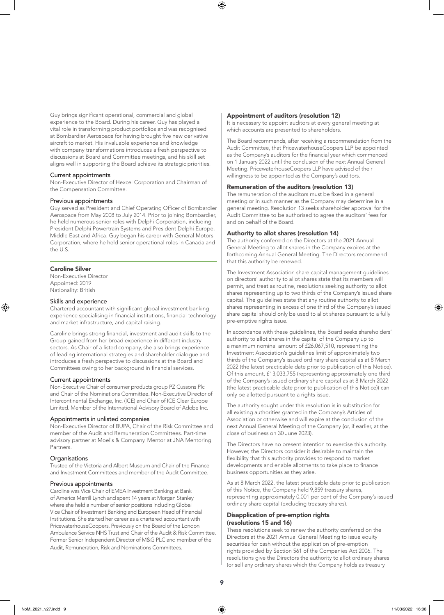⊕

Guy brings significant operational, commercial and global experience to the Board. During his career, Guy has played a vital role in transforming product portfolios and was recognised at Bombardier Aerospace for having brought five new derivative aircraft to market. His invaluable experience and knowledge with company transformations introduces a fresh perspective to discussions at Board and Committee meetings, and his skill set aligns well in supporting the Board achieve its strategic priorities.

#### Current appointments

Non-Executive Director of Hexcel Corporation and Chairman of the Compensation Committee.

#### Previous appointments

Guy served as President and Chief Operating Officer of Bombardier Aerospace from May 2008 to July 2014. Prior to joining Bombardier, he held numerous senior roles with Delphi Corporation, including President Delphi Powertrain Systems and President Delphi Europe, Middle East and Africa. Guy began his career with General Motors Corporation, where he held senior operational roles in Canada and the U.S.

#### Caroline Silver

⊕

Non-Executive Director Appointed: 2019 Nationality: British

#### Skills and experience

Chartered accountant with significant global investment banking experience specialising in financial institutions, financial technology and market infrastructure, and capital raising.

Caroline brings strong financial, investment and audit skills to the Group gained from her broad experience in different industry sectors. As Chair of a listed company, she also brings experience of leading international strategies and shareholder dialogue and introduces a fresh perspective to discussions at the Board and Committees owing to her background in financial services.

#### Current appointments

Non-Executive Chair of consumer products group PZ Cussons Plc and Chair of the Nominations Committee. Non-Executive Director of Intercontinental Exchange, Inc. (ICE) and Chair of ICE Clear Europe Limited. Member of the International Advisory Board of Adobe Inc.

#### Appointments in unlisted companies

Non-Executive Director of BUPA, Chair of the Risk Committee and member of the Audit and Remuneration Committees. Part-time advisory partner at Moelis & Company. Mentor at JNA Mentoring Partners.

#### **Organisations**

Trustee of the Victoria and Albert Museum and Chair of the Finance and Investment Committees and member of the Audit Committee.

#### Previous appointments

Caroline was Vice Chair of EMEA Investment Banking at Bank of America Merrill Lynch and spent 14 years at Morgan Stanley where she held a number of senior positions including Global Vice Chair of Investment Banking and European Head of Financial Institutions. She started her career as a chartered accountant with PricewaterhouseCoopers. Previously on the Board of the London Ambulance Service NHS Trust and Chair of the Audit & Risk Committee. Former Senior Independent Director of M&G PLC and member of the Audit, Remuneration, Risk and Nominations Committees.

#### Appointment of auditors (resolution 12)

It is necessary to appoint auditors at every general meeting at which accounts are presented to shareholders.

The Board recommends, after receiving a recommendation from the Audit Committee, that PricewaterhouseCoopers LLP be appointed as the Company's auditors for the financial year which commenced on 1 January 2022 until the conclusion of the next Annual General Meeting. PricewaterhouseCoopers LLP have advised of their willingness to be appointed as the Company's auditors.

#### Remuneration of the auditors (resolution 13)

The remuneration of the auditors must be fixed in a general meeting or in such manner as the Company may determine in a general meeting. Resolution 13 seeks shareholder approval for the Audit Committee to be authorised to agree the auditors' fees for and on behalf of the Board.

#### Authority to allot shares (resolution 14)

The authority conferred on the Directors at the 2021 Annual General Meeting to allot shares in the Company expires at the forthcoming Annual General Meeting. The Directors recommend that this authority be renewed.

The Investment Association share capital management guidelines on directors' authority to allot shares state that its members will permit, and treat as routine, resolutions seeking authority to allot shares representing up to two thirds of the Company's issued share capital. The guidelines state that any routine authority to allot shares representing in excess of one third of the Company's issued share capital should only be used to allot shares pursuant to a fully pre-emptive rights issue.

In accordance with these guidelines, the Board seeks shareholders' authority to allot shares in the capital of the Company up to a maximum nominal amount of £26,067,510, representing the Investment Association's guidelines limit of approximately two thirds of the Company's issued ordinary share capital as at 8 March 2022 (the latest practicable date prior to publication of this Notice). Of this amount, £13,033,755 (representing approximately one third of the Company's issued ordinary share capital as at 8 March 2022 (the latest practicable date prior to publication of this Notice)) can only be allotted pursuant to a rights issue.

The authority sought under this resolution is in substitution for all existing authorities granted in the Company's Articles of Association or otherwise and will expire at the conclusion of the next Annual General Meeting of the Company (or, if earlier, at the close of business on 30 June 2023).

The Directors have no present intention to exercise this authority. However, the Directors consider it desirable to maintain the flexibility that this authority provides to respond to market developments and enable allotments to take place to finance business opportunities as they arise.

As at 8 March 2022, the latest practicable date prior to publication of this Notice, the Company held 9,859 treasury shares, representing approximately 0.001 per cent of the Company's issued ordinary share capital (excluding treasury shares).

#### Disapplication of pre-emption rights (resolutions 15 and 16)

These resolutions seek to renew the authority conferred on the Directors at the 2021 Annual General Meeting to issue equity securities for cash without the application of pre-emption rights provided by Section 561 of the Companies Act 2006. The resolutions give the Directors the authority to allot ordinary shares (or sell any ordinary shares which the Company holds as treasury

9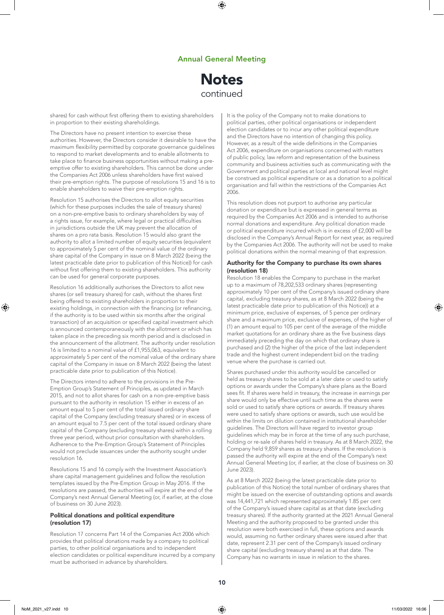⊕

## **Notes** continued

shares) for cash without first offering them to existing shareholders in proportion to their existing shareholdings.

The Directors have no present intention to exercise these authorities. However, the Directors consider it desirable to have the maximum flexibility permitted by corporate governance guidelines to respond to market developments and to enable allotments to take place to finance business opportunities without making a preemptive offer to existing shareholders. This cannot be done under the Companies Act 2006 unless shareholders have first waived their pre-emption rights. The purpose of resolutions 15 and 16 is to enable shareholders to waive their pre-emption rights.

Resolution 15 authorises the Directors to allot equity securities (which for these purposes includes the sale of treasury shares) on a non-pre-emptive basis to ordinary shareholders by way of a rights issue, for example, where legal or practical difficulties in jurisdictions outside the UK may prevent the allocation of shares on a pro rata basis. Resolution 15 would also grant the authority to allot a limited number of equity securities (equivalent to approximately 5 per cent of the nominal value of the ordinary share capital of the Company in issue on 8 March 2022 (being the latest practicable date prior to publication of this Notice)) for cash without first offering them to existing shareholders. This authority can be used for general corporate purposes.

Resolution 16 additionally authorises the Directors to allot new shares (or sell treasury shares) for cash, without the shares first being offered to existing shareholders in proportion to their existing holdings, in connection with the financing (or refinancing, if the authority is to be used within six months after the original transaction) of an acquisition or specified capital investment which is announced contemporaneously with the allotment or which has taken place in the preceding six month period and is disclosed in the announcement of the allotment. The authority under resolution 16 is limited to a nominal value of £1,955,063, equivalent to approximately 5 per cent of the nominal value of the ordinary share capital of the Company in issue on 8 March 2022 (being the latest practicable date prior to publication of this Notice).

The Directors intend to adhere to the provisions in the Pre-Emption Group's Statement of Principles, as updated in March 2015, and not to allot shares for cash on a non-pre-emptive basis pursuant to the authority in resolution 15 either in excess of an amount equal to 5 per cent of the total issued ordinary share capital of the Company (excluding treasury shares) or in excess of an amount equal to 7.5 per cent of the total issued ordinary share capital of the Company (excluding treasury shares) within a rolling three year period, without prior consultation with shareholders. Adherence to the Pre-Emption Group's Statement of Principles would not preclude issuances under the authority sought under resolution 16.

Resolutions 15 and 16 comply with the Investment Association's share capital management guidelines and follow the resolution templates issued by the Pre-Emption Group in May 2016. If the resolutions are passed, the authorities will expire at the end of the Company's next Annual General Meeting (or, if earlier, at the close of business on 30 June 2023).

#### Political donations and political expenditure (resolution 17)

Resolution 17 concerns Part 14 of the Companies Act 2006 which provides that political donations made by a company to political parties, to other political organisations and to independent election candidates or political expenditure incurred by a company must be authorised in advance by shareholders.

It is the policy of the Company not to make donations to political parties, other political organisations or independent election candidates or to incur any other political expenditure and the Directors have no intention of changing this policy. However, as a result of the wide definitions in the Companies Act 2006, expenditure on organisations concerned with matters of public policy, law reform and representation of the business community and business activities such as communicating with the Government and political parties at local and national level might be construed as political expenditure or as a donation to a political organisation and fall within the restrictions of the Companies Act 2006.

This resolution does not purport to authorise any particular donation or expenditure but is expressed in general terms as required by the Companies Act 2006 and is intended to authorise normal donations and expenditure. Any political donation made or political expenditure incurred which is in excess of £2,000 will be disclosed in the Company's Annual Report for next year, as required by the Companies Act 2006. The authority will not be used to make political donations within the normal meaning of that expression.

#### Authority for the Company to purchase its own shares (resolution 18)

Resolution 18 enables the Company to purchase in the market up to a maximum of 78,202,533 ordinary shares (representing approximately 10 per cent of the Company's issued ordinary share capital, excluding treasury shares, as at 8 March 2022 (being the latest practicable date prior to publication of this Notice)) at a minimum price, exclusive of expenses, of 5 pence per ordinary share and a maximum price, exclusive of expenses, of the higher of (1) an amount equal to 105 per cent of the average of the middle market quotations for an ordinary share as the five business days immediately preceding the day on which that ordinary share is purchased and (2) the higher of the price of the last independent trade and the highest current independent bid on the trading venue where the purchase is carried out.

Shares purchased under this authority would be cancelled or held as treasury shares to be sold at a later date or used to satisfy options or awards under the Company's share plans as the Board sees fit. If shares were held in treasury, the increase in earnings per share would only be effective until such time as the shares were sold or used to satisfy share options or awards. If treasury shares were used to satisfy share options or awards, such use would be within the limits on dilution contained in institutional shareholder guidelines. The Directors will have regard to investor group guidelines which may be in force at the time of any such purchase, holding or re-sale of shares held in treasury. As at 8 March 2022, the Company held 9,859 shares as treasury shares. If the resolution is passed the authority will expire at the end of the Company's next Annual General Meeting (or, if earlier, at the close of business on 30 June 2023).

As at 8 March 2022 (being the latest practicable date prior to publication of this Notice) the total number of ordinary shares that might be issued on the exercise of outstanding options and awards was 14,441,721 which represented approximately 1.85 per cent of the Company's issued share capital as at that date (excluding treasury shares). If the authority granted at the 2021 Annual General Meeting and the authority proposed to be granted under this resolution were both exercised in full, these options and awards would, assuming no further ordinary shares were issued after that date, represent 2.31 per cent of the Company's issued ordinary share capital (excluding treasury shares) as at that date. The Company has no warrants in issue in relation to the shares.

⊕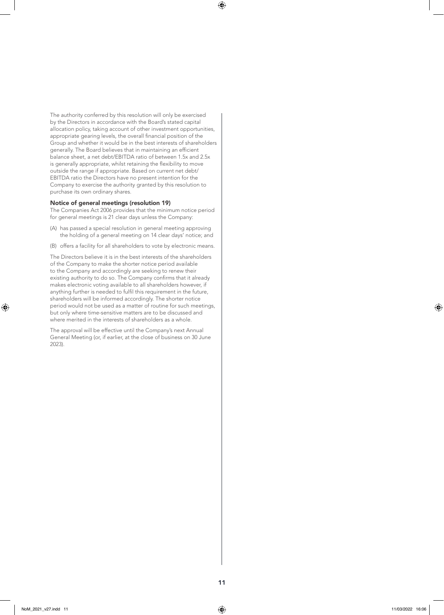The authority conferred by this resolution will only be exercised by the Directors in accordance with the Board's stated capital allocation policy, taking account of other investment opportunities, appropriate gearing levels, the overall financial position of the Group and whether it would be in the best interests of shareholders generally. The Board believes that in maintaining an efficient balance sheet, a net debt/EBITDA ratio of between 1.5x and 2.5x is generally appropriate, whilst retaining the flexibility to move outside the range if appropriate. Based on current net debt/ EBITDA ratio the Directors have no present intention for the Company to exercise the authority granted by this resolution to purchase its own ordinary shares.

#### Notice of general meetings (resolution 19)

The Companies Act 2006 provides that the minimum notice period for general meetings is 21 clear days unless the Company:

- (A) has passed a special resolution in general meeting approving the holding of a general meeting on 14 clear days' notice; and
- (B) offers a facility for all shareholders to vote by electronic means.

The Directors believe it is in the best interests of the shareholders of the Company to make the shorter notice period available to the Company and accordingly are seeking to renew their existing authority to do so. The Company confirms that it already makes electronic voting available to all shareholders however, if anything further is needed to fulfil this requirement in the future, shareholders will be informed accordingly. The shorter notice period would not be used as a matter of routine for such meetings, but only where time-sensitive matters are to be discussed and where merited in the interests of shareholders as a whole.

The approval will be effective until the Company's next Annual General Meeting (or, if earlier, at the close of business on 30 June 2023).

⊕

⊕